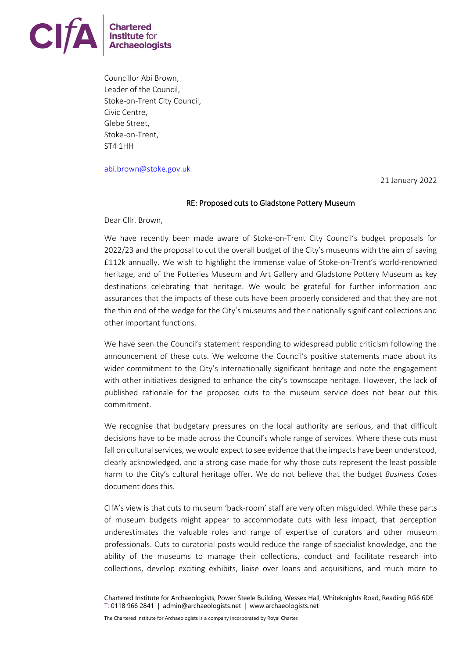

Councillor Abi Brown, Leader of the Council, Stoke-on-Trent City Council, Civic Centre, Glebe Street, Stoke-on-Trent, ST4 1HH

[abi.brown@stoke.gov.uk](mailto:abi.brown@stoke.gov.uk)

21 January 2022

## RE: Proposed cuts to Gladstone Pottery Museum

Dear Cllr. Brown,

We have recently been made aware of Stoke-on-Trent City Council's budget proposals for 2022/23 and the proposal to cut the overall budget of the City's museums with the aim of saving £112k annually. We wish to highlight the immense value of Stoke-on-Trent's world-renowned heritage, and of the Potteries Museum and Art Gallery and Gladstone Pottery Museum as key destinations celebrating that heritage. We would be grateful for further information and assurances that the impacts of these cuts have been properly considered and that they are not the thin end of the wedge for the City's museums and their nationally significant collections and other important functions.

We have seen the Council's statement responding to widespread public criticism following the announcement of these cuts. We welcome the Council's positive statements made about its wider commitment to the City's internationally significant heritage and note the engagement with other initiatives designed to enhance the city's townscape heritage. However, the lack of published rationale for the proposed cuts to the museum service does not bear out this commitment.

We recognise that budgetary pressures on the local authority are serious, and that difficult decisions have to be made across the Council's whole range of services. Where these cuts must fall on cultural services, we would expect to see evidence that the impacts have been understood, clearly acknowledged, and a strong case made for why those cuts represent the least possible harm to the City's cultural heritage offer. We do not believe that the budget *Business Cases* document does this.

CIfA's view is that cuts to museum 'back-room' staff are very often misguided. While these parts of museum budgets might appear to accommodate cuts with less impact, that perception underestimates the valuable roles and range of expertise of curators and other museum professionals. Cuts to curatorial posts would reduce the range of specialist knowledge, and the ability of the museums to manage their collections, conduct and facilitate research into collections, develop exciting exhibits, liaise over loans and acquisitions, and much more to

The Chartered Institute for Archaeologists is a company incorporated by Royal Charter.

Chartered Institute for Archaeologists, Power Steele Building, Wessex Hall, Whiteknights Road, Reading RG6 6DE T: 0118 966 2841 | admin@archaeologists.net | www.archaeologists.net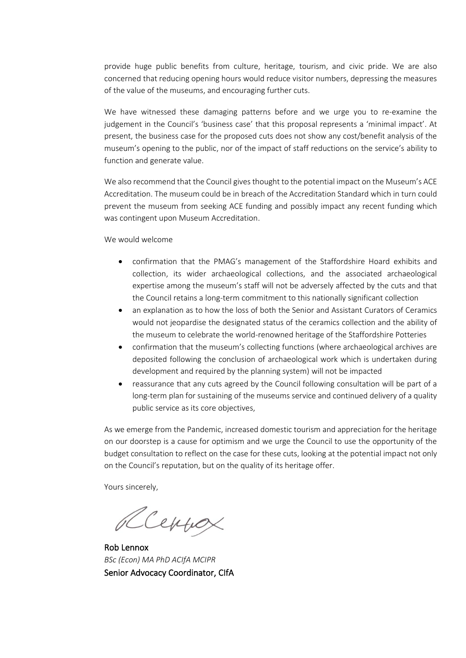provide huge public benefits from culture, heritage, tourism, and civic pride. We are also concerned that reducing opening hours would reduce visitor numbers, depressing the measures of the value of the museums, and encouraging further cuts.

We have witnessed these damaging patterns before and we urge you to re-examine the judgement in the Council's 'business case' that this proposal represents a 'minimal impact'. At present, the business case for the proposed cuts does not show any cost/benefit analysis of the museum's opening to the public, nor of the impact of staff reductions on the service's ability to function and generate value.

We also recommend that the Council gives thought to the potential impact on the Museum's ACE Accreditation. The museum could be in breach of the Accreditation Standard which in turn could prevent the museum from seeking ACE funding and possibly impact any recent funding which was contingent upon Museum Accreditation.

We would welcome

- confirmation that the PMAG's management of the Staffordshire Hoard exhibits and collection, its wider archaeological collections, and the associated archaeological expertise among the museum's staff will not be adversely affected by the cuts and that the Council retains a long-term commitment to this nationally significant collection
- an explanation as to how the loss of both the Senior and Assistant Curators of Ceramics would not jeopardise the designated status of the ceramics collection and the ability of the museum to celebrate the world-renowned heritage of the Staffordshire Potteries
- confirmation that the museum's collecting functions (where archaeological archives are deposited following the conclusion of archaeological work which is undertaken during development and required by the planning system) will not be impacted
- reassurance that any cuts agreed by the Council following consultation will be part of a long-term plan for sustaining of the museums service and continued delivery of a quality public service as its core objectives,

As we emerge from the Pandemic, increased domestic tourism and appreciation for the heritage on our doorstep is a cause for optimism and we urge the Council to use the opportunity of the budget consultation to reflect on the case for these cuts, looking at the potential impact not only on the Council's reputation, but on the quality of its heritage offer.

Yours sincerely,

Reynox

Rob Lennox *BSc (Econ) MA PhD ACIfA MCIPR* Senior Advocacy Coordinator, CIfA